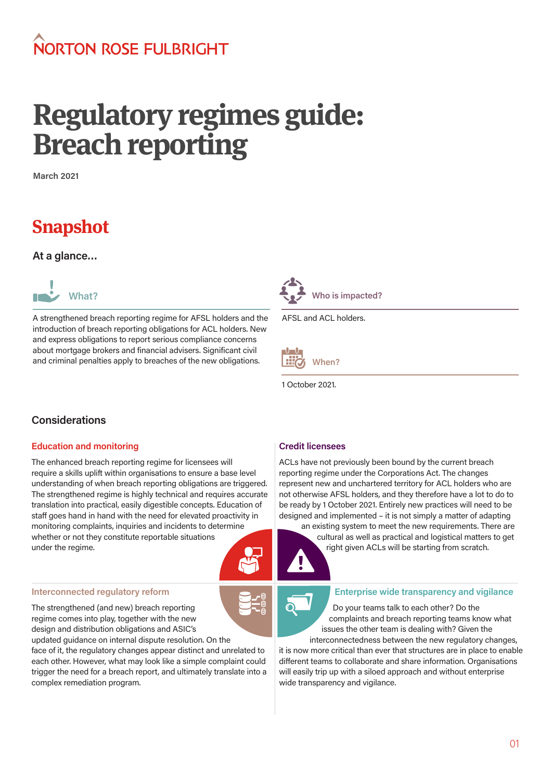# NORTON ROSE FUI BRIGHT

# **Regulatory regimes guide: Breach reporting**

**March 2021**

# **Snapshot**

**At a glance…**



A strengthened breach reporting regime for AFSL holders and the introduction of breach reporting obligations for ACL holders. New and express obligations to report serious compliance concerns about mortgage brokers and financial advisers. Significant civil and criminal penalties apply to breaches of the new obligations.



AFSL and ACL holders.



1 October 2021.

# **Considerations**

#### **Education and monitoring**

The enhanced breach reporting regime for licensees will require a skills uplift within organisations to ensure a base level understanding of when breach reporting obligations are triggered. The strengthened regime is highly technical and requires accurate translation into practical, easily digestible concepts. Education of staff goes hand in hand with the need for elevated proactivity in monitoring complaints, inquiries and incidents to determine whether or not they constitute reportable situations under the regime.

#### **Interconnected regulatory reform**

The strengthened (and new) breach reporting regime comes into play, together with the new design and distribution obligations and ASIC's updated guidance on internal dispute resolution. On the

face of it, the regulatory changes appear distinct and unrelated to each other. However, what may look like a simple complaint could trigger the need for a breach report, and ultimately translate into a complex remediation program.

### **Credit licensees**

ACLs have not previously been bound by the current breach reporting regime under the Corporations Act. The changes represent new and unchartered territory for ACL holders who are not otherwise AFSL holders, and they therefore have a lot to do to be ready by 1 October 2021. Entirely new practices will need to be designed and implemented – it is not simply a matter of adapting

an existing system to meet the new requirements. There are cultural as well as practical and logistical matters to get right given ACLs will be starting from scratch.



#### **Enterprise wide transparency and vigilance**

Do your teams talk to each other? Do the complaints and breach reporting teams know what issues the other team is dealing with? Given the interconnectedness between the new regulatory changes,

it is now more critical than ever that structures are in place to enable different teams to collaborate and share information. Organisations will easily trip up with a siloed approach and without enterprise wide transparency and vigilance.

01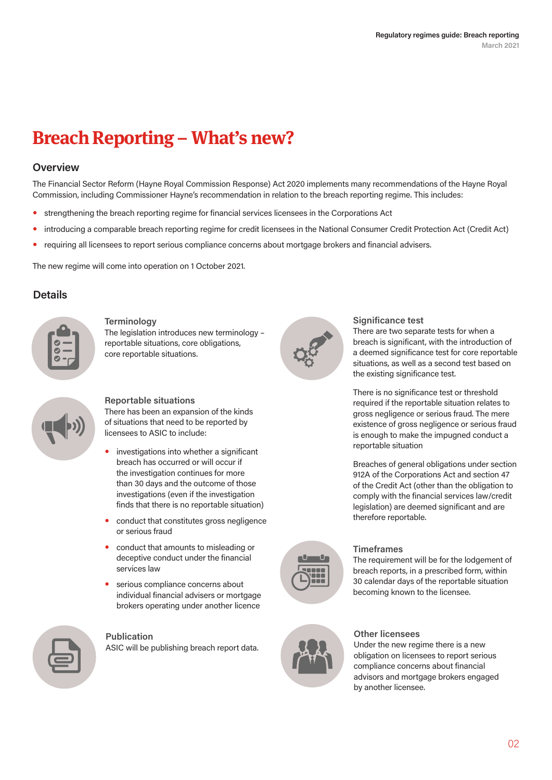# **Breach Reporting – What's new?**

### **Overview**

The Financial Sector Reform (Hayne Royal Commission Response) Act 2020 implements many recommendations of the Hayne Royal Commission, including Commissioner Hayne's recommendation in relation to the breach reporting regime. This includes:

- strengthening the breach reporting regime for financial services licensees in the Corporations Act
- introducing a comparable breach reporting regime for credit licensees in the National Consumer Credit Protection Act (Credit Act)
- requiring all licensees to report serious compliance concerns about mortgage brokers and financial advisers.

The new regime will come into operation on 1 October 2021.

# **Details**



#### **Terminology**

The legislation introduces new terminology – reportable situations, core obligations, core reportable situations.



#### **Reportable situations**

There has been an expansion of the kinds of situations that need to be reported by licensees to ASIC to include:

- investigations into whether a significant breach has occurred or will occur if the investigation continues for more than 30 days and the outcome of those investigations (even if the investigation finds that there is no reportable situation)
- conduct that constitutes gross negligence or serious fraud
- conduct that amounts to misleading or deceptive conduct under the financial services law
- serious compliance concerns about individual financial advisers or mortgage brokers operating under another licence



#### **Publication**

ASIC will be publishing breach report data.



#### **Significance test**

There are two separate tests for when a breach is significant, with the introduction of a deemed significance test for core reportable situations, as well as a second test based on the existing significance test.

There is no significance test or threshold required if the reportable situation relates to gross negligence or serious fraud. The mere existence of gross negligence or serious fraud is enough to make the impugned conduct a reportable situation

Breaches of general obligations under section 912A of the Corporations Act and section 47 of the Credit Act (other than the obligation to comply with the financial services law/credit legislation) are deemed significant and are therefore reportable.



#### **Timeframes**

The requirement will be for the lodgement of breach reports, in a prescribed form, within 30 calendar days of the reportable situation becoming known to the licensee.



#### **Other licensees**

Under the new regime there is a new obligation on licensees to report serious compliance concerns about financial advisors and mortgage brokers engaged by another licensee.